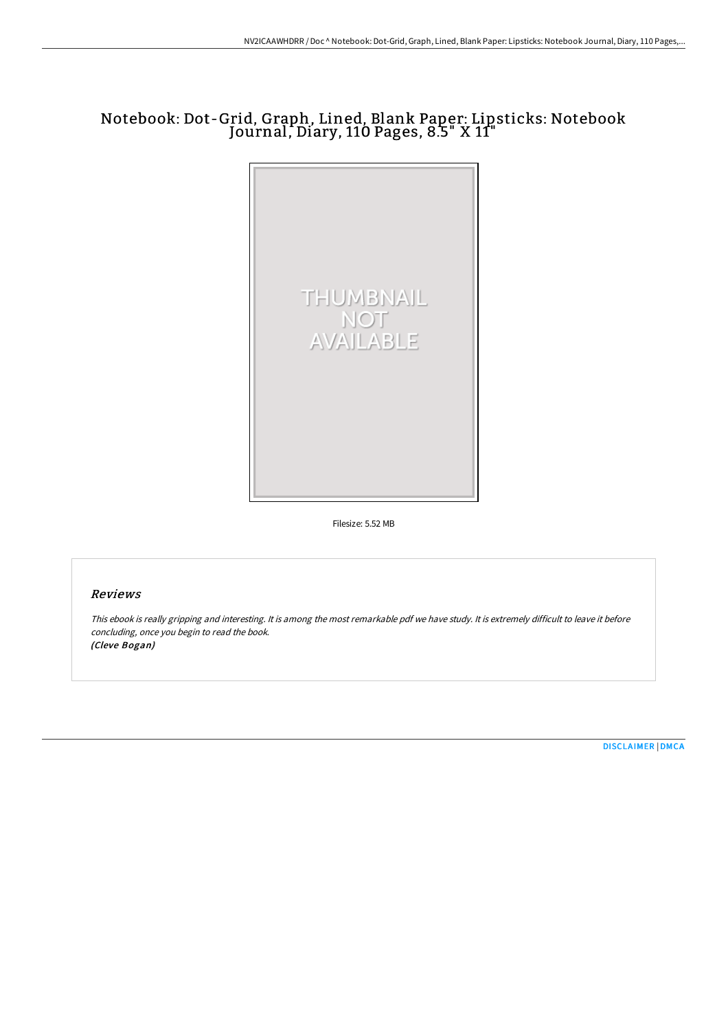## Notebook: Dot-Grid, Graph, Lined, Blank Paper: Lipsticks: Notebook Journal, Diary, 110 Pages, 8.5" X 11"



Filesize: 5.52 MB

## Reviews

This ebook is really gripping and interesting. It is among the most remarkable pdf we have study. It is extremely difficult to leave it before concluding, once you begin to read the book. (Cleve Bogan)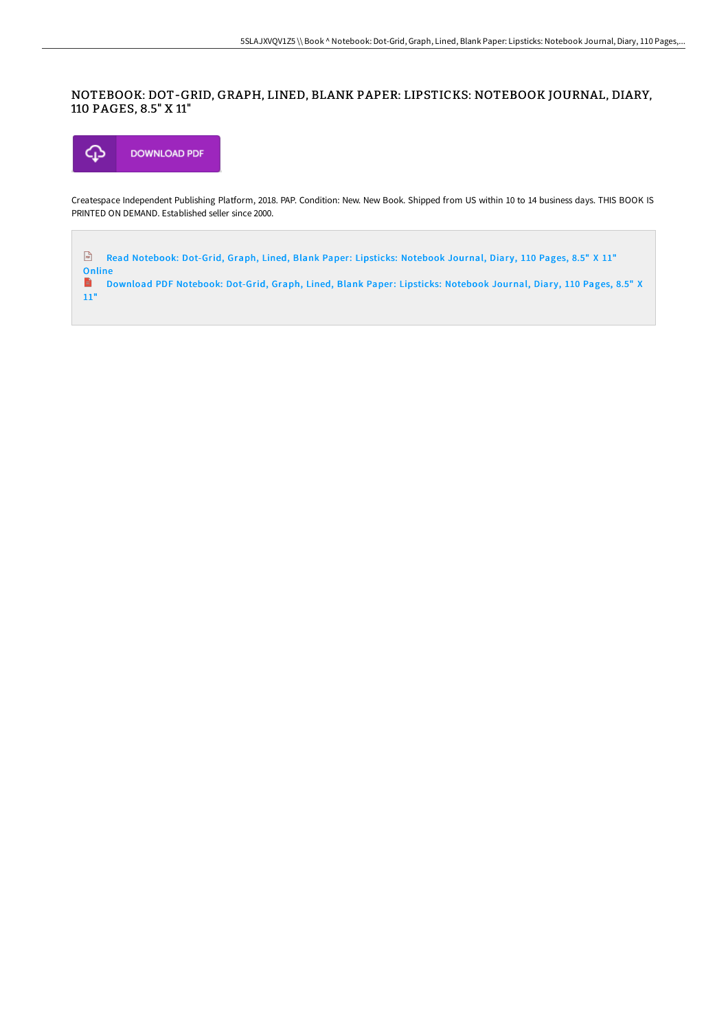## NOTEBOOK: DOT-GRID, GRAPH, LINED, BLANK PAPER: LIPSTICKS: NOTEBOOK JOURNAL, DIARY, 110 PAGES, 8.5" X 11"



Createspace Independent Publishing Platform, 2018. PAP. Condition: New. New Book. Shipped from US within 10 to 14 business days. THIS BOOK IS PRINTED ON DEMAND. Established seller since 2000.

 $\frac{1}{100}$ Read [Notebook:](http://techno-pub.tech/notebook-dot-grid-graph-lined-blank-paper-lipsti.html) Dot-Grid, Graph, Lined, Blank Paper: Lipsticks: Notebook Journal, Diary, 110 Pages, 8.5" X 11" Online<br>**B** De

Download PDF [Notebook:](http://techno-pub.tech/notebook-dot-grid-graph-lined-blank-paper-lipsti.html) Dot-Grid, Graph, Lined, Blank Paper: Lipsticks: Notebook Journal, Diary, 110 Pages, 8.5" X 11"